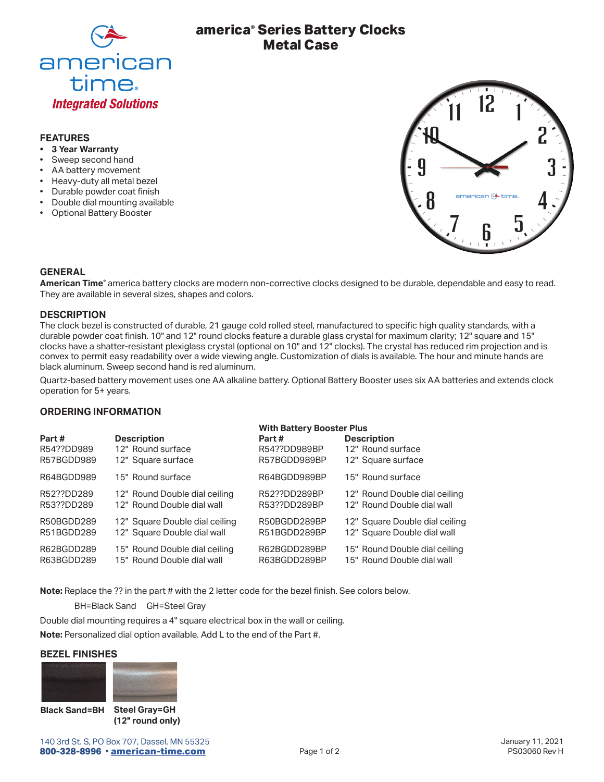

# **america® Series Battery Clocks Metal Case**

# **FEATURES**

- **• 3 Year Warranty**
- Sweep second hand
- AA battery movement
- Heavy-duty all metal bezel
- Durable powder coat finish
- Double dial mounting available
- • Optional Battery Booster



### **GENERAL**

**American Time®** america battery clocks are modern non-corrective clocks designed to be durable, dependable and easy to read. They are available in several sizes, shapes and colors.

### **DESCRIPTION**

The clock bezel is constructed of durable, 21 gauge cold rolled steel, manufactured to specific high quality standards, with a durable powder coat finish. 10" and 12" round clocks feature a durable glass crystal for maximum clarity; 12" square and 15" clocks have a shatter-resistant plexiglass crystal (optional on 10" and 12" clocks). The crystal has reduced rim projection and is convex to permit easy readability over a wide viewing angle. Customization of dials is available. The hour and minute hands are black aluminum. Sweep second hand is red aluminum.

Quartz-based battery movement uses one AA alkaline battery. Optional Battery Booster uses six AA batteries and extends clock operation for 5+ years.

### **ORDERING INFORMATION**

|            |                                | <b>With Battery Booster Plus</b> |                                |
|------------|--------------------------------|----------------------------------|--------------------------------|
| Part#      | <b>Description</b>             | Part#                            | <b>Description</b>             |
| R54??DD989 | 12" Round surface              | R54??DD989BP                     | 12" Round surface              |
| R57BGDD989 | 12" Square surface             | R57BGDD989BP                     | 12" Square surface             |
| R64BGDD989 | 15" Round surface              | R64BGDD989BP                     | 15" Round surface              |
| R52??DD289 | 12" Round Double dial ceiling  | R52??DD289BP                     | 12" Round Double dial ceiling  |
| R53??DD289 | 12" Round Double dial wall     | R53??DD289BP                     | 12" Round Double dial wall     |
| R50BGDD289 | 12" Square Double dial ceiling | R50BGDD289BP                     | 12" Square Double dial ceiling |
| R51BGDD289 | 12" Square Double dial wall    | R51BGDD289BP                     | 12" Square Double dial wall    |
| R62BGDD289 | 15" Round Double dial ceiling  | R62BGDD289BP                     | 15" Round Double dial ceiling  |
| R63BGDD289 | 15" Round Double dial wall     | R63BGDD289BP                     | 15" Round Double dial wall     |

**Note:** Replace the ?? in the part # with the 2 letter code for the bezel finish. See colors below.

BH=Black Sand GH=Steel Gray

Double dial mounting requires a 4" square electrical box in the wall or ceiling.

**Note:** Personalized dial option available. Add L to the end of the Part #.

### **BEZEL FINISHES**



**Steel Gray=GH Black Sand=BH(12" round only)**